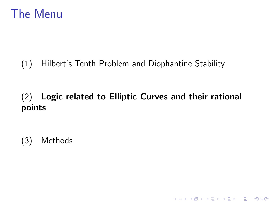### <span id="page-0-0"></span>The Menu

#### (1) Hilbert's Tenth Problem and Diophantine Stability

#### (2) Logic related to Elliptic Curves and their rational points

K ロ ▶ K @ ▶ K 할 > K 할 > 1 할 > 1 이익어

(3) Methods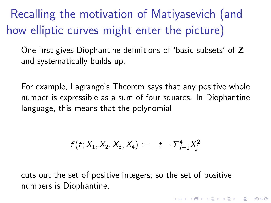Recalling the motivation of Matiyasevich (and how elliptic curves might enter the picture)

One first gives Diophantine definitions of 'basic subsets' of Z and systematically builds up.

For example, Lagrange's Theorem says that any positive whole number is expressible as a sum of four squares. In Diophantine language, this means that the polynomial

$$
f(t; X_1, X_2, X_3, X_4) := t - \sum_{i=1}^4 X_i^2
$$

4 D > 4 P + 4 B + 4 B + B + 9 Q O

cuts out the set of positive integers; so the set of positive numbers is Diophantine.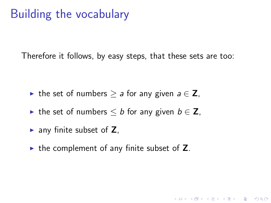# Building the vocabulary

Therefore it follows, by easy steps, that these sets are too:

- In the set of numbers  $\ge a$  for any given  $a \in \mathbb{Z}$ ,
- In the set of numbers  $\leq b$  for any given  $b \in \mathbb{Z}$ ,
- $\blacktriangleright$  any finite subset of Z.
- $\triangleright$  the complement of any finite subset of Z.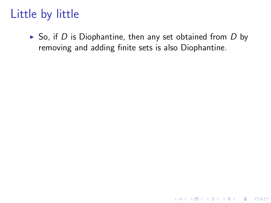$\triangleright$  So, if D is Diophantine, then any set obtained from D by removing and adding finite sets is also Diophantine.

K ロ ▶ K @ ▶ K 할 > K 할 > 1 할 > 1 이익어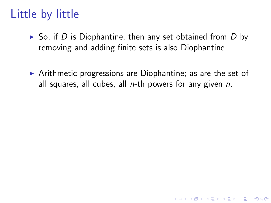- $\triangleright$  So, if D is Diophantine, then any set obtained from D by removing and adding finite sets is also Diophantine.
- $\triangleright$  Arithmetic progressions are Diophantine; as are the set of all squares, all cubes, all  $n$ -th powers for any given  $n$ .

**KORK ERKER ADE YOUR**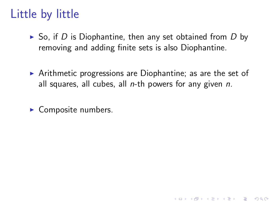- $\triangleright$  So, if D is Diophantine, then any set obtained from D by removing and adding finite sets is also Diophantine.
- $\triangleright$  Arithmetic progressions are Diophantine; as are the set of all squares, all cubes, all  $n$ -th powers for any given  $n$ .

**KORK ERKER ADE YOUR** 

 $\blacktriangleright$  Composite numbers.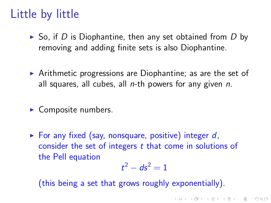- $\triangleright$  So, if D is Diophantine, then any set obtained from D by removing and adding finite sets is also Diophantine.
- $\triangleright$  Arithmetic progressions are Diophantine; as are the set of all squares, all cubes, all  $n$ -th powers for any given  $n$ .
- $\blacktriangleright$  Composite numbers.
- For any fixed (say, nonsquare, positive) integer  $d$ , consider the set of integers t that come in solutions of the Pell equation

$$
t^2 - ds^2 = 1
$$

KID KA KERKER KID KO

(this being a set that grows roughly exponentially).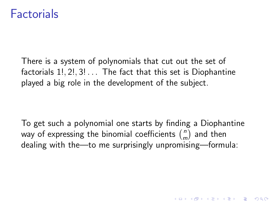#### **Factorials**

There is a system of polynomials that cut out the set of factorials 1!, 2!, 3! . . . The fact that this set is Diophantine played a big role in the development of the subject.

To get such a polynomial one starts by finding a Diophantine way of expressing the binomial coefficients  $\binom{n}{n}$  $\binom{n}{m}$  and then dealing with the—to me surprisingly unpromising—formula:

4 D > 4 P + 4 B + 4 B + B + 9 Q O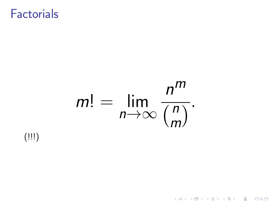#### **Factorials**

#### $m! =$  lim  $n \rightarrow \infty$ n m  $\sqrt{\frac{n}{n}}$ m  $\overline{\big)$ .

K ロ ▶ K @ ▶ K 할 > K 할 > 1 할 > 1 이익어

 $($ !!! $)$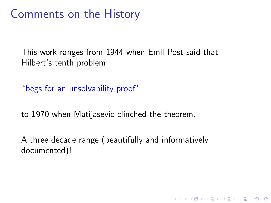#### Comments on the History

This work ranges from 1944 when Emil Post said that Hilbert's tenth problem

"begs for an unsolvability proof"

to 1970 when Matijasevic clinched the theorem.

A three decade range (beautifully and informatively documented)!

K ロ ▶ K @ ▶ K 할 > K 할 > 1 할 > 1 이익어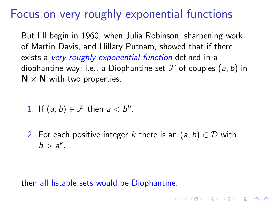## Focus on very roughly exponential functions

But I'll begin in 1960, when Julia Robinson, sharpening work of Martin Davis, and Hillary Putnam, showed that if there exists a very roughly exponential function defined in a diophantine way; i.e., a Diophantine set  $\mathcal F$  of couples  $(a, b)$  in  $N \times N$  with two properties:

1. If 
$$
(a, b) \in \mathcal{F}
$$
 then  $a < b^b$ .

2. For each positive integer k there is an  $(a, b) \in \mathcal{D}$  with  $b > a^k$ .

**KORKAR KERKER EL VOLO** 

then all listable sets would be Diophantine.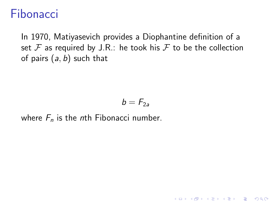#### Fibonacci

In 1970, Matiyasevich provides a Diophantine definition of a set  $\mathcal F$  as required by J.R.: he took his  $\mathcal F$  to be the collection of pairs  $(a, b)$  such that

$$
b=F_{2a}
$$

**KORK ERKER ADE YOUR** 

where  $F_n$  is the nth Fibonacci number.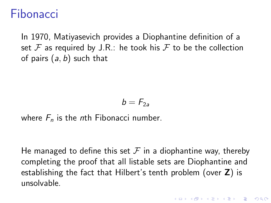#### Fibonacci

In 1970, Matiyasevich provides a Diophantine definition of a set  $\mathcal F$  as required by J.R.: he took his  $\mathcal F$  to be the collection of pairs  $(a, b)$  such that

$$
b=F_{2a}
$$

where  $F_n$  is the nth Fibonacci number.

He managed to define this set  $\mathcal F$  in a diophantine way, thereby completing the proof that all listable sets are Diophantine and establishing the fact that Hilbert's tenth problem (over Z) is unsolvable.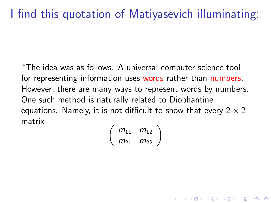# I find this quotation of Matiyasevich illuminating:

"The idea was as follows. A universal computer science tool for representing information uses words rather than numbers. However, there are many ways to represent words by numbers. One such method is naturally related to Diophantine equations. Namely, it is not difficult to show that every  $2 \times 2$ matrix

 $\begin{pmatrix} m_{11} & m_{12} \\ m_{21} & m_{22} \end{pmatrix}$ 

**KORK (FRAGE) EL POLO**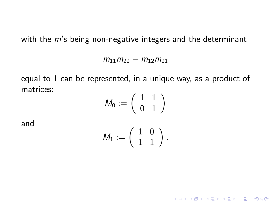with the *m*'s being non-negative integers and the determinant

 $m_{11}m_{22} - m_{12}m_{21}$ 

equal to 1 can be represented, in a unique way, as a product of matrices:

$$
M_0:=\left(\begin{array}{cc}1&1\\0&1\end{array}\right)
$$

and

$$
\mathsf{M}_1:=\left(\begin{array}{cc} 1 & 0 \\ 1 & 1 \end{array}\right).
$$

**K ロ ▶ K @ ▶ K 할 X X 할 X 및 할 X X Q Q O**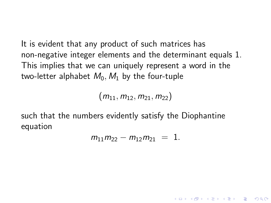It is evident that any product of such matrices has non-negative integer elements and the determinant equals 1. This implies that we can uniquely represent a word in the two-letter alphabet  $M_0$ ,  $M_1$  by the four-tuple

 $(m_{11}, m_{12}, m_{21}, m_{22})$ 

such that the numbers evidently satisfy the Diophantine equation

$$
m_{11}m_{22}-m_{12}m_{21} = 1.
$$

**K ロ ▶ K @ ▶ K 할 X X 할 X 및 할 X X Q Q O**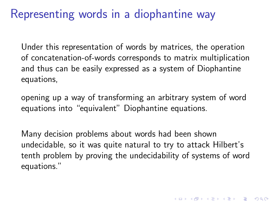## Representing words in a diophantine way

Under this representation of words by matrices, the operation of concatenation-of-words corresponds to matrix multiplication and thus can be easily expressed as a system of Diophantine equations,

opening up a way of transforming an arbitrary system of word equations into "equivalent" Diophantine equations.

Many decision problems about words had been shown undecidable, so it was quite natural to try to attack Hilbert's tenth problem by proving the undecidability of systems of word equations."

4 D > 4 P + 4 B + 4 B + B + 9 Q O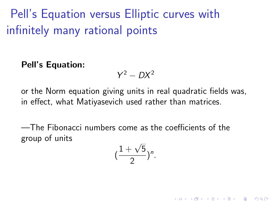Pell's Equation versus Elliptic curves with infinitely many rational points

Pell's Equation:

 $Y^2 - DX^2$ 

or the Norm equation giving units in real quadratic fields was, in effect, what Matiyasevich used rather than matrices.

—The Fibonacci numbers come as the coefficients of the group of units

$$
(\frac{1+\sqrt{5}}{2})^n.
$$

**K ロ ▶ K @ ▶ K 할 X X 할 X 및 할 X X Q Q O**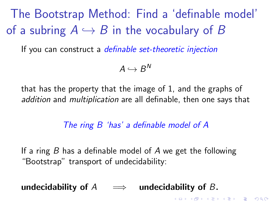<span id="page-18-0"></span>The Bootstrap Method: Find a 'definable model' of a subring  $A \hookrightarrow B$  in the vocabulary of B

If you can construct a *definable set-theoretic injection* 

 $A \hookrightarrow B^N$ 

that has the property that the image of 1, and the graphs of addition and multiplication are all definable, then one says that

#### The ring B 'has' a definable model of A

K ロ ▶ K @ ▶ K 할 > K 할 > 1 할 > 1 이익어

If a ring  $B$  has a definable model of  $A$  we get the following "Bootstrap" transport of undecidability:

undecidability of  $A \implies$  undecidability of B.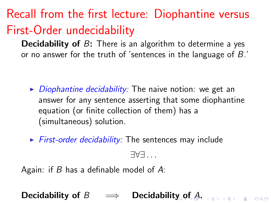# Recall from the first lecture: Diophantine versus First-Order undecidability

**Decidability of B:** There is an algorithm to determine a yes or no answer for the truth of 'sentences in the language of B.'

- $\triangleright$  Diophantine decidability: The naive notion: we get an answer for any sentence asserting that some diophantine equation (or finite collection of them) has a (simultaneous) solution.
- $\triangleright$  First-order decidability: The sentences may include

∃∀∃ . . .

Again: if  $B$  has a definable model of  $A$ :

Decidabili[ty](#page-18-0) [of](#page-0-0)  $B \implies$  Decidability of  $A$ ,  $\lim_{n \to \infty}$  is seen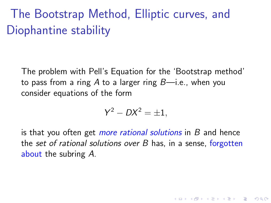# The Bootstrap Method, Elliptic curves, and Diophantine stability

The problem with Pell's Equation for the 'Bootstrap method' to pass from a ring A to a larger ring  $B$ —i.e., when you consider equations of the form

$$
Y^2 - DX^2 = \pm 1,
$$

is that you often get *more rational solutions* in B and hence the set of rational solutions over B has, in a sense, forgotten about the subring A.

**KORKAR KERKER EL VOLO**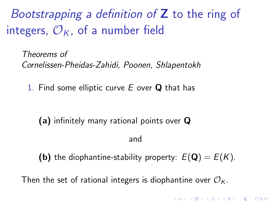Bootstrapping a definition of  $Z$  to the ring of integers,  $\mathcal{O}_K$ , of a number field

Theorems of Cornelissen-Pheidas-Zahidi, Poonen, Shlapentokh

1. Find some elliptic curve  $E$  over  $Q$  that has

(a) infinitely many rational points over Q and

**(b)** the diophantine-stability property:  $E(\mathbf{Q}) = E(K)$ .

**K ロ ▶ K @ ▶ K 할 X X 할 X 및 할 X X Q Q O** 

Then the set of rational integers is diophantine over  $\mathcal{O}_K$ .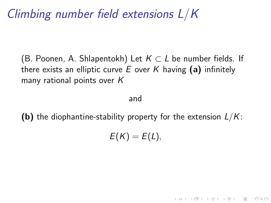Climbing number field extensions L/K

(B. Poonen, A. Shlapentokh) Let  $K \subset L$  be number fields. If there exists an elliptic curve  $E$  over  $K$  having (a) infinitely many rational points over K

#### and

**(b)** the diophantine-stability property for the extension  $L/K$ :

$$
E(K)=E(L),
$$

**KORK ERKER ADE YOUR**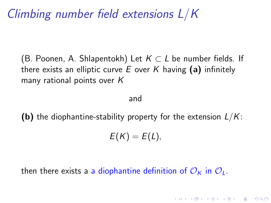Climbing number field extensions L/K

(B. Poonen, A. Shlapentokh) Let  $K \subset L$  be number fields. If there exists an elliptic curve E over K having (a) infinitely many rational points over K

#### and

**(b)** the diophantine-stability property for the extension  $L/K$ :

$$
E(K)=E(L),
$$

**KORK ERKER ADE YOUR** 

then there exists a a diophantine definition of  $\mathcal{O}_K$  in  $\mathcal{O}_L$ .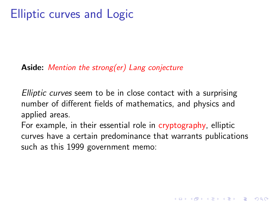#### Aside: Mention the strong(er) Lang conjecture

Elliptic curves seem to be in close contact with a surprising number of different fields of mathematics, and physics and applied areas.

For example, in their essential role in cryptography, elliptic curves have a certain predominance that warrants publications such as this 1999 government memo:

K ロ ▶ K @ ▶ K 할 > K 할 > 1 할 > 1 이익어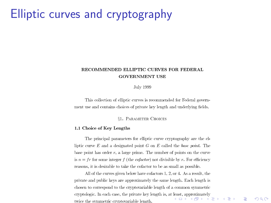### Elliptic curves and cryptography

#### **RECOMMENDED ELLIPTIC CURVES FOR FEDERAL GOVERNMENT USE**

July 1999

This collection of elliptic curves is recommended for Federal government use and contains choices of private key length and underlying fields.

**81. PARAMETER CHOICES** 

#### 1.1 Choice of Kev Lengths

The principal parameters for elliptic curve cryptography are the elliptic curve  $E$  and a designated point  $G$  on  $E$  called the *base point*. The base point has order  $r$ , a large prime. The number of points on the curve is  $n = fr$  for some integer f (the *cofactor*) not divisible by r. For efficiency reasons, it is desirable to take the cofactor to be as small as possible.

All of the curves given below have cofactors 1, 2, or 4. As a result, the private and public keys are approximately the same length. Each length is chosen to correspond to the cryptovariable length of a common symmetric cryptologic. In each case, the private key length is, at least, approximately + O → + A → + B → + B → D → O Q O twice the symmetric cryptovariable length.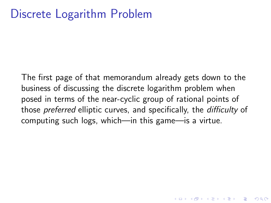#### Discrete Logarithm Problem

The first page of that memorandum already gets down to the business of discussing the discrete logarithm problem when posed in terms of the near-cyclic group of rational points of those preferred elliptic curves, and specifically, the difficulty of computing such logs, which—in this game—is a virtue.

**KORKAR KERKER EL VOLO**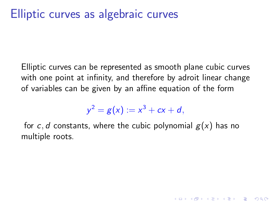Elliptic curves can be represented as smooth plane cubic curves with one point at infinity, and therefore by adroit linear change of variables can be given by an affine equation of the form

$$
y^2 = g(x) := x^3 + cx + d,
$$

for c, d constants, where the cubic polynomial  $g(x)$  has no multiple roots.

4 D > 4 P + 4 B + 4 B + B + 9 Q O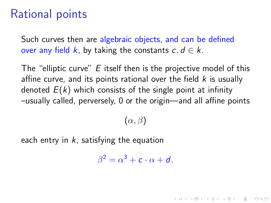## Rational points

Such curves then are algebraic objects, and can be defined over any field k, by taking the constants  $c, d \in k$ .

The "elliptic curve" E itself then is the projective model of this affine curve, and its points rational over the field  $k$  is usually denoted  $E(k)$  which consists of the single point at infinity –usually called, perversely, 0 or the origin—and all affine points

 $(\alpha, \beta)$ 

each entry in  $k$ , satisfying the equation

 $\beta^2 = \alpha^3 + c \cdot \alpha + d.$ 

4 D > 4 P + 4 B + 4 B + B + 9 Q O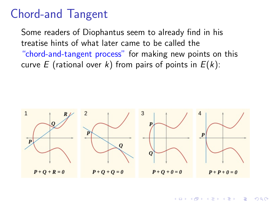#### Chord-and Tangent

Some readers of Diophantus seem to already find in his treatise hints of what later came to be called the "chord-and-tangent process" for making new points on this curve E (rational over k) from pairs of points in  $E(k)$ :

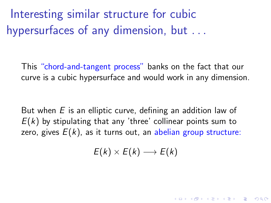Interesting similar structure for cubic hypersurfaces of any dimension, but ...

This "chord-and-tangent process" banks on the fact that our curve is a cubic hypersurface and would work in any dimension.

But when  $E$  is an elliptic curve, defining an addition law of  $E(k)$  by stipulating that any 'three' collinear points sum to zero, gives  $E(k)$ , as it turns out, an abelian group structure:

 $E(k) \times E(k) \longrightarrow E(k)$ 

KID KA KERKER E VOOR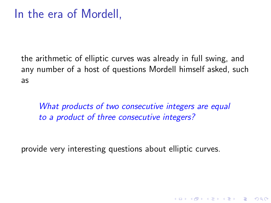the arithmetic of elliptic curves was already in full swing, and any number of a host of questions Mordell himself asked, such as

What products of two consecutive integers are equal to a product of three consecutive integers?

**KORKA SERKER ORA** 

provide very interesting questions about elliptic curves.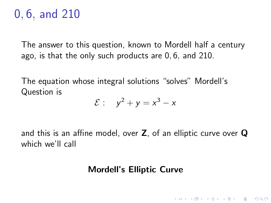# 0, 6, and 210

The answer to this question, known to Mordell half a century ago, is that the only such products are 0, 6, and 210.

The equation whose integral solutions "solves" Mordell's Question is

$$
\mathcal{E}: y^2 + y = x^3 - x
$$

and this is an affine model, over Z, of an elliptic curve over Q which we'll call

#### Mordell's Elliptic Curve

**KORKA SERKER ORA**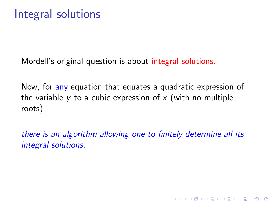Mordell's original question is about integral solutions.

Now, for any equation that equates a quadratic expression of the variable y to a cubic expression of x (with no multiple roots)

there is an algorithm allowing one to finitely determine all its integral solutions.

**K ロ ▶ K @ ▶ K 할 X X 할 X 및 할 X X Q Q O**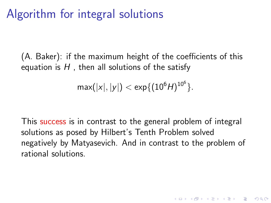## Algorithm for integral solutions

(A. Baker): if the maximum height of the coefficients of this equation is  $H$ , then all solutions of the satisfy

$$
\max(|x|,|y|) < \exp\{(10^6 H)^{10^6}\}.
$$

This success is in contrast to the general problem of integral solutions as posed by Hilbert's Tenth Problem solved negatively by Matyasevich. And in contrast to the problem of rational solutions.

4 D > 4 P + 4 B + 4 B + B + 9 Q O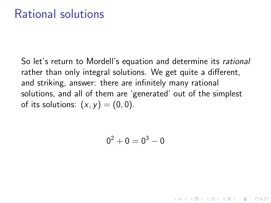So let's return to Mordell's equation and determine its rational rather than only integral solutions. We get quite a different, and striking, answer: there are infinitely many rational solutions, and all of them are 'generated' out of the simplest of its solutions:  $(x, y) = (0, 0)$ .

$$
\mathbf{0}^2+\mathbf{0}=\mathbf{0}^3-\mathbf{0}
$$

**KORKA SERKER ORA**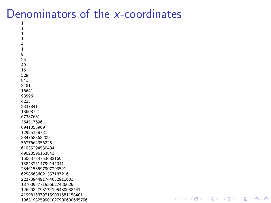#### Denominators of the x-coordinates

**KORK ERRY ABY DE YOUR**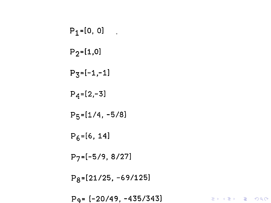$$
P_1 = [0, 0]
$$
  
\n
$$
P_2 = [1, 0]
$$
  
\n
$$
P_3 = [-1, -1]
$$
  
\n
$$
P_4 = [2, -3]
$$
  
\n
$$
P_5 = [1/4, -5/8]
$$
  
\n
$$
P_6 = [6, 14]
$$
  
\n
$$
P_7 = [-5/9, 8/27]
$$
  
\n
$$
P_8 = [21/25, -69/125]
$$
  
\n
$$
P_9 = [-20/49, -435/343]
$$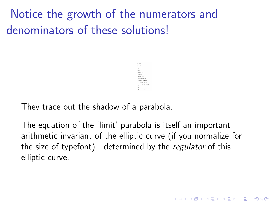Notice the growth of the numerators and denominators of these solutions!

They trace out the shadow of a parabola.

The equation of the 'limit' parabola is itself an important arithmetic invariant of the elliptic curve (if you normalize for the size of typefont)—determined by the regulator of this elliptic curve.

**KORK STRAIN A BAR SHOP**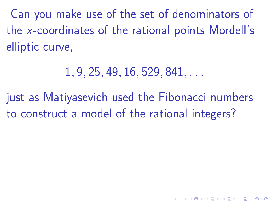Can you make use of the set of denominators of the x-coordinates of the rational points Mordell's elliptic curve,

 $1, 9, 25, 49, 16, 529, 841, \ldots$ 

just as Matiyasevich used the Fibonacci numbers to construct a model of the rational integers?

**KORKAR KERKER EL VOLO**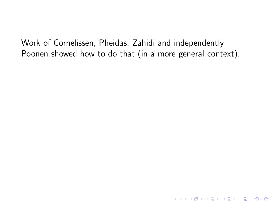Work of Cornelissen, Pheidas, Zahidi and independently Poonen showed how to do that (in a more general context).

K ロ ▶ K @ ▶ K 할 ▶ K 할 ▶ | 할 | © 9 Q @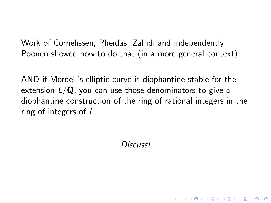Work of Cornelissen, Pheidas, Zahidi and independently Poonen showed how to do that (in a more general context).

AND if Mordell's elliptic curve is diophantine-stable for the extension  $L/Q$ , you can use those denominators to give a diophantine construction of the ring of rational integers in the ring of integers of L.

Discuss!

**KORKA SERKER ORA**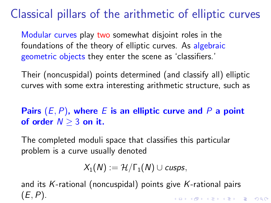# Classical pillars of the arithmetic of elliptic curves

Modular curves play two somewhat disjoint roles in the foundations of the theory of elliptic curves. As algebraic geometric objects they enter the scene as 'classifiers.'

Their (noncuspidal) points determined (and classify all) elliptic curves with some extra interesting arithmetic structure, such as

Pairs  $(E, P)$ , where E is an elliptic curve and P a point of order  $N > 3$  on it.

The completed moduli space that classifies this particular problem is a curve usually denoted

$$
X_1(N):=\mathcal{H}/\Gamma_1(N)\cup cusps,
$$

and its K-rational (noncuspidal) points give K-rational pairs  $(E, P)$ . **K ロ ▶ K @ ▶ K 할 X X 할 X 및 할 X X Q Q O**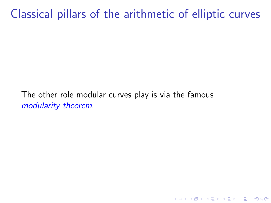Classical pillars of the arithmetic of elliptic curves

K ロ ▶ K @ ▶ K 할 > K 할 > 1 할 > 1 이익어

The other role modular curves play is via the famous modularity theorem.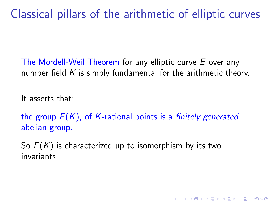Classical pillars of the arithmetic of elliptic curves

The Mordell-Weil Theorem for any elliptic curve E over any number field  $K$  is simply fundamental for the arithmetic theory.

It asserts that:

the group  $E(K)$ , of K-rational points is a *finitely generated* abelian group.

**KORKA SERKER ORA** 

So  $E(K)$  is characterized up to isomorphism by its two invariants: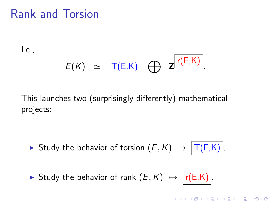## Rank and Torsion

I.e.,

$$
E(K) \simeq \boxed{\mathsf{T}(E,K)} \bigoplus \mathsf{Z}^{\boxed{\mathsf{r}(E,K)}}.
$$

This launches two (surprisingly differently) mathematical projects:

- ► Study the behavior of torsion  $(E, K) \mapsto |T(E,K)|$ ,
- ► Study the behavior of rank  $(E, K) \mapsto |r(E,K)|$ .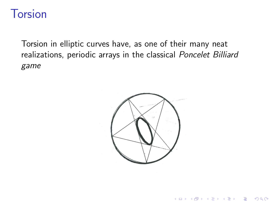### **Torsion**

Torsion in elliptic curves have, as one of their many neat realizations, periodic arrays in the classical Poncelet Billiard game



K ロ ▶ K @ ▶ K 할 > K 할 > 1 할 > 1 이익어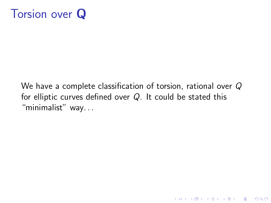

We have a complete classification of torsion, rational over Q for elliptic curves defined over Q. It could be stated this "minimalist" way...

K ロ ▶ K @ ▶ K 할 > K 할 > 1 할 > 1 이익어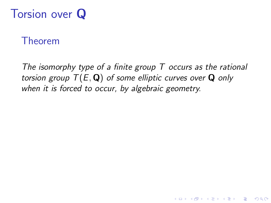# Torsion over Q

#### Theorem

The isomorphy type of a finite group  $T$  occurs as the rational torsion group  $T(E, \mathbf{Q})$  of some elliptic curves over  $\mathbf{Q}$  only when it is forced to occur, by algebraic geometry.

**KORKA SERKER ORA**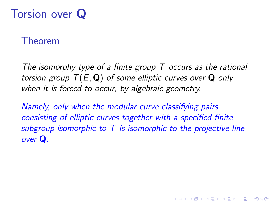# Torsion over Q

#### Theorem

The isomorphy type of a finite group  $T$  occurs as the rational torsion group  $T(E, \mathbf{Q})$  of some elliptic curves over **Q** only when it is forced to occur, by algebraic geometry.

Namely, only when the modular curve classifying pairs consisting of elliptic curves together with a specified finite subgroup isomorphic to  $T$  is isomorphic to the projective line over Q.

**KORKA SERKER ORA**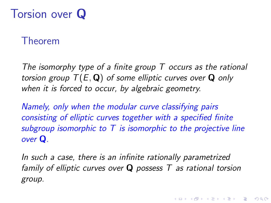# Torsion over Q

#### Theorem

The isomorphy type of a finite group  $T$  occurs as the rational torsion group  $T(E, \mathbf{Q})$  of some elliptic curves over **Q** only when it is forced to occur, by algebraic geometry.

Namely, only when the modular curve classifying pairs consisting of elliptic curves together with a specified finite subgroup isomorphic to  $T$  is isomorphic to the projective line over Q.

In such a case, there is an infinite rationally parametrized family of elliptic curves over  $Q$  possess  $T$  as rational torsion group.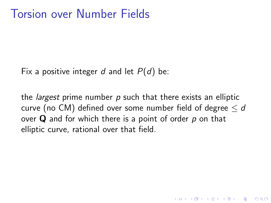Fix a positive integer d and let  $P(d)$  be:

the *largest* prime number  $p$  such that there exists an elliptic curve (no CM) defined over some number field of degree  $\leq d$ over  $\bf{Q}$  and for which there is a point of order  $\bf{p}$  on that elliptic curve, rational over that field.

**KORKA SERKER ORA**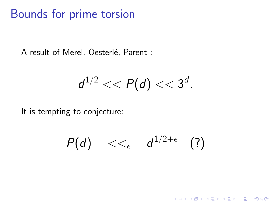#### Bounds for prime torsion

A result of Merel, Oesterlé, Parent :

$$
d^{1/2} << P(d) << 3^d.
$$

It is tempting to conjecture:

$$
P(d) \quad <<_{\epsilon} \quad d^{1/2+\epsilon} \quad (?)
$$

K ロ ▶ K @ ▶ K 할 ▶ K 할 ▶ | 할 | © 9 Q @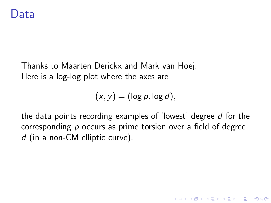Thanks to Maarten Derickx and Mark van Hoej: Here is a log-log plot where the axes are

 $(x, y) = (\log p, \log d),$ 

the data points recording examples of 'lowest' degree d for the corresponding p occurs as prime torsion over a field of degree d (in a non-CM elliptic curve).

**KORKAR KERKER EL VOLO**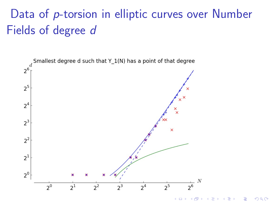# Data of p-torsion in elliptic curves over Number Fields of degree d



Þ  $2Q$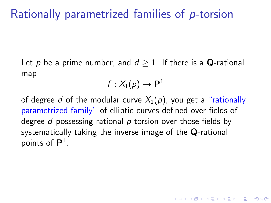# Rationally parametrized families of p-torsion

Let p be a prime number, and  $d \geq 1$ . If there is a **Q**-rational map

$$
f:X_1(\rho)\to {\textbf P}^1
$$

of degree d of the modular curve  $X_1(p)$ , you get a "rationally parametrized family" of elliptic curves defined over fields of degree d possessing rational p-torsion over those fields by systematically taking the inverse image of the Q-rational points of  $\mathsf{P}^1$ .

**KORKAR KERKER EL VOLO**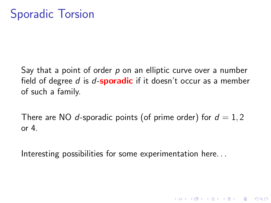Say that a point of order  $p$  on an elliptic curve over a number field of degree d is d-**sporadic** if it doesn't occur as a member of such a family.

There are NO d-sporadic points (of prime order) for  $d = 1, 2$ or  $4$ .

**KORK ERKER ADE YOUR** 

Interesting possibilities for some experimentation here...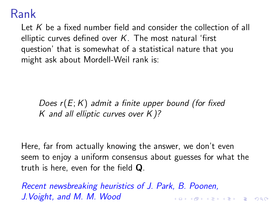### Rank

Let K be a fixed number field and consider the collection of all elliptic curves defined over  $K$ . The most natural 'first question' that is somewhat of a statistical nature that you might ask about Mordell-Weil rank is:

Does  $r(E;K)$  admit a finite upper bound (for fixed K and all elliptic curves over  $K$ )?

Here, far from actually knowing the answer, we don't even seem to enjoy a uniform consensus about guesses for what the truth is here, even for the field Q.

Recent newsbreaking heuristics of J. Park, B. Poonen, J.Voight, and M. M. WoodKID KA KERKER KID KO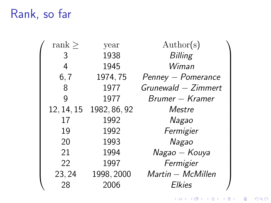# Rank, so far

| rank $\geq$ | year                    | $\text{Author}(s)$  |  |
|-------------|-------------------------|---------------------|--|
| 3           | 1938                    | <b>Billing</b>      |  |
| 4           | 1945                    | Wiman               |  |
| 6, 7        | 1974, 75                | Penney - Pomerance  |  |
| 8           | 1977                    | Grunewald - Zimmert |  |
| g           | 1977                    | Brumer – Kramer     |  |
|             | 12, 14, 15 1982, 86, 92 | Mestre              |  |
| 17          | 1992                    | Nagao               |  |
| 19          | 1992                    | Fermigier           |  |
| 20          | 1993                    | Nagao               |  |
| 21          | 1994                    | Nagao - Kouya       |  |
| 22          | 1997                    | Fermigier           |  |
| 23, 24      | 1998, 2000              | Martin - McMillen   |  |
| 28          | 2006                    | <b>Elkies</b>       |  |

イロト イ御 トイミト イミト ニミー りんぴ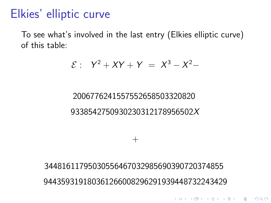### Elkies' elliptic curve

To see what's involved in the last entry (Elkies elliptic curve) of this table:

$$
\mathcal{E}: Y^2 + XY + Y = X^3 - X^2 -
$$

#### 2006776241557552658503320820 9338542750930230312178956502X

34481611795030556467032985690390720374855 944359319180361266008296291939448732243429

 $^{+}$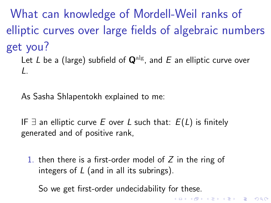What can knowledge of Mordell-Weil ranks of elliptic curves over large fields of algebraic numbers get you?

Let L be a (large) subfield of  $\mathbf{Q}^{\text{alg}}$ , and E an elliptic curve over L.

As Sasha Shlapentokh explained to me:

IF  $\exists$  an elliptic curve E over L such that:  $E(L)$  is finitely generated and of positive rank,

1. then there is a first-order model of  $Z$  in the ring of integers of L (and in all its subrings).

**K ロ ▶ K @ ▶ K 할 X X 할 X → 할 X → 9 Q Q ^** 

So we get first-order undecidability for these.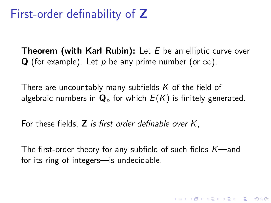### First-order definability of Z

**Theorem (with Karl Rubin):** Let  $E$  be an elliptic curve over Q (for example). Let p be any prime number (or  $\infty$ ).

There are uncountably many subfields  $K$  of the field of algebraic numbers in  $\mathbf{Q}_p$  for which  $E(K)$  is finitely generated.

For these fields,  $Z$  is first order definable over  $K$ .

The first-order theory for any subfield of such fields  $K$ —and for its ring of integers—is undecidable.

4 D > 4 P + 4 B + 4 B + B + 9 Q O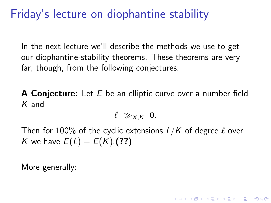## Friday's lecture on diophantine stability

In the next lecture we'll describe the methods we use to get our diophantine-stability theorems. These theorems are very far, though, from the following conjectures:

A Conjecture: Let E be an elliptic curve over a number field K and

 $\ell \gg_{X,K} 0$ .

Then for 100% of the cyclic extensions  $L/K$  of degree  $\ell$  over K we have  $E(L) = E(K)$ . (??)

**KORKAR KERKER EL VOLO** 

More generally: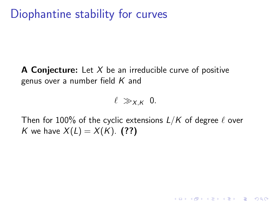## Diophantine stability for curves

**A Conjecture:** Let  $X$  be an irreducible curve of positive genus over a number field  $K$  and

 $\ell \gg_{X,K} 0$ .

Then for 100% of the cyclic extensions  $L/K$  of degree  $\ell$  over K we have  $X(L) = X(K)$ . (??)

**KORK ERKER ADE YOUR**